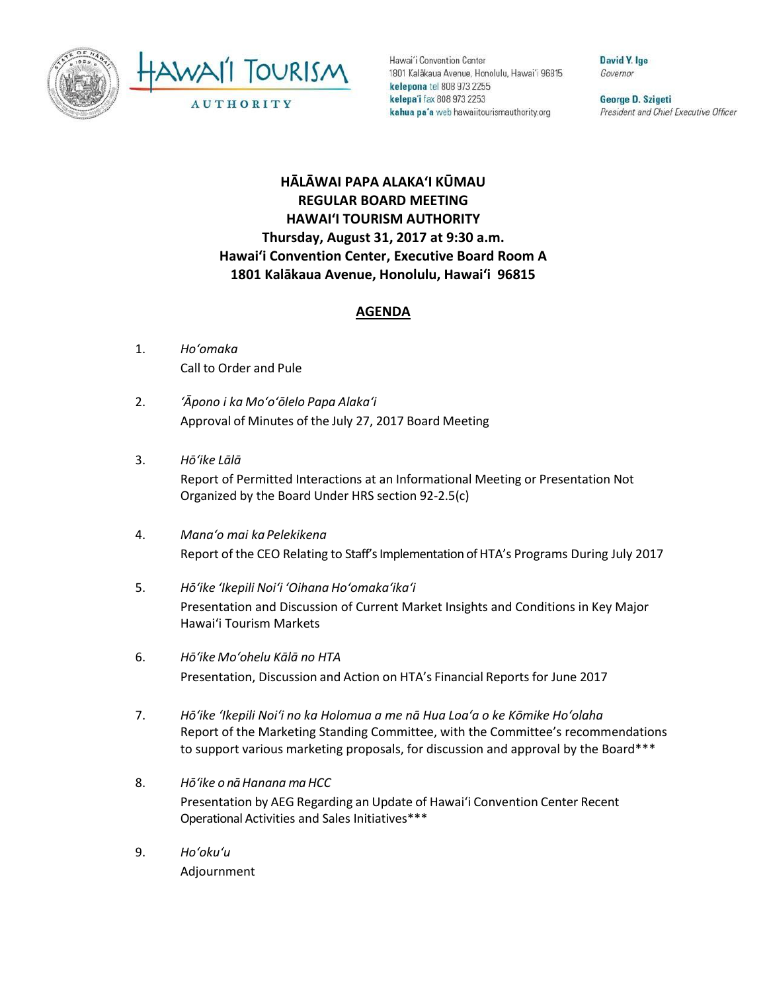



Hawai'i Convention Center 1801 Kalākaua Avenue, Honolulu, Hawai'i 96815 kelepona tel 808 973 2255 kelepa'i fax 808 973 2253 kahua pa'a web hawaiitourismauthority.org

David Y. Ige Governor

George D. Szigeti President and Chief Executive Officer

## **HĀLĀWAI PAPA ALAKAʻI KŪMAU REGULAR BOARD MEETING HAWAI'I TOURISM AUTHORITY Thursday, August 31, 2017 at 9:30 a.m. Hawai'i Convention Center, Executive Board Room A 1801 Kalākaua Avenue, Honolulu, Hawai'i 96815**

## **AGENDA**

- 1. *Ho'omaka* Call to Order and Pule
- 2. *ʻĀpono i ka Mo'o'ōlelo Papa Alaka'i* Approval of Minutes of the July 27, 2017 Board Meeting
- 3. *Hō'ike Lālā* Report of Permitted Interactions at an Informational Meeting or Presentation Not Organized by the Board Under HRS section 92-2.5(c)
- 4. *Mana'o mai ka Pelekikena* Report of the CEO Relating to Staff's Implementation of HTA's Programs During July 2017
- 5. *Hō'ike 'Ikepili Noi'i 'Oihana Ho'omaka'ika'i* Presentation and Discussion of Current Market Insights and Conditions in Key Major Hawai'i Tourism Markets
- 6. *Hō'ike Mo'ohelu Kālā no HTA*  Presentation, Discussion and Action on HTA's Financial Reports for June 2017
- 7. *Hōʻike ʻIkepili Noiʻi no ka Holomua a me nā Hua Loaʻa o ke Kōmike Ho'olaha* Report of the Marketing Standing Committee, with the Committee's recommendations to support various marketing proposals, for discussion and approval by the Board\*\*\*
- 8. *Hōʻike o nā Hanana ma HCC* Presentation by AEG Regarding an Update of Hawai'i Convention Center Recent Operational Activities and Sales Initiatives\*\*\*
- 9. *Ho'oku'u* Adjournment